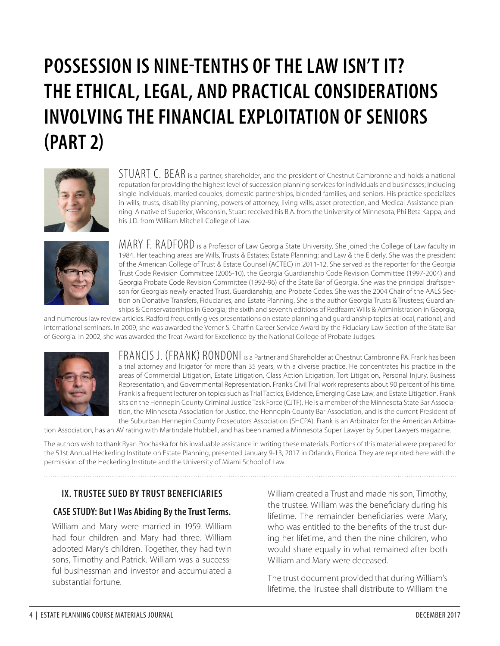# **POSSESSION IS NINE-TENTHS OF THE LAW ISN'T IT? THE ETHICAL, LEGAL, AND PRACTICAL CONSIDERATIONS INVOLVING THE FINANCIAL EXPLOITATION OF SENIORS (PART 2)**



STUART C. BEAR is a partner, shareholder, and the president of Chestnut Cambronne and holds a national reputation for providing the highest level of succession planning services for individuals and businesses; including single individuals, married couples, domestic partnerships, blended families, and seniors. His practice specializes in wills, trusts, disability planning, powers of attorney, living wills, asset protection, and Medical Assistance planning. A native of Superior, Wisconsin, Stuart received his B.A. from the University of Minnesota, Phi Beta Kappa, and his J.D. from William Mitchell College of Law.



MARY F. RADFORD is a Professor of Law Georgia State University. She joined the College of Law faculty in 1984. Her teaching areas are Wills, Trusts & Estates; Estate Planning; and Law & the Elderly. She was the president of the American College of Trust & Estate Counsel (ACTEC) in 2011-12. She served as the reporter for the Georgia Trust Code Revision Committee (2005-10), the Georgia Guardianship Code Revision Committee (1997-2004) and Georgia Probate Code Revision Committee (1992-96) of the State Bar of Georgia. She was the principal draftsperson for Georgia's newly enacted Trust, Guardianship, and Probate Codes. She was the 2004 Chair of the AALS Section on Donative Transfers, Fiduciaries, and Estate Planning. She is the author Georgia Trusts & Trustees; Guardianships & Conservatorships in Georgia; the sixth and seventh editions of Redfearn: Wills & Administration in Georgia;

and numerous law review articles. Radford frequently gives presentations on estate planning and guardianship topics at local, national, and international seminars. In 2009, she was awarded the Verner S. Chaffin Career Service Award by the Fiduciary Law Section of the State Bar of Georgia. In 2002, she was awarded the Treat Award for Excellence by the National College of Probate Judges.



FRANCIS J. (FRANK) RONDONI is a Partner and Shareholder at Chestnut Cambronne PA. Frank has been a trial attorney and litigator for more than 35 years, with a diverse practice. He concentrates his practice in the areas of Commercial Litigation, Estate Litigation, Class Action Litigation, Tort Litigation, Personal Injury, Business Representation, and Governmental Representation. Frank's Civil Trial work represents about 90 percent of his time. Frank is a frequent lecturer on topics such as Trial Tactics, Evidence, Emerging Case Law, and Estate Litigation. Frank sits on the Hennepin County Criminal Justice Task Force (CJTF). He is a member of the Minnesota State Bar Association, the Minnesota Association for Justice, the Hennepin County Bar Association, and is the current President of the Suburban Hennepin County Prosecutors Association (SHCPA). Frank is an Arbitrator for the American Arbitra-

tion Association, has an AV rating with Martindale Hubbell, and has been named a Minnesota Super Lawyer by Super Lawyers magazine.

The authors wish to thank Ryan Prochaska for his invaluable assistance in writing these materials. Portions of this material were prepared for the 51st Annual Heckerling Institute on Estate Planning, presented January 9-13, 2017 in Orlando, Florida. They are reprinted here with the permission of the Heckerling Institute and the University of Miami School of Law.

# **IX. TRUSTEE SUED BY TRUST BENEFICIARIES**

## **CASE STUDY: But I Was Abiding By the Trust Terms.**

William and Mary were married in 1959. William had four children and Mary had three. William adopted Mary's children. Together, they had twin sons, Timothy and Patrick. William was a successful businessman and investor and accumulated a substantial fortune.

William created a Trust and made his son, Timothy, the trustee. William was the beneficiary during his lifetime. The remainder beneficiaries were Mary, who was entitled to the benefits of the trust during her lifetime, and then the nine children, who would share equally in what remained after both William and Mary were deceased.

The trust document provided that during William's lifetime, the Trustee shall distribute to William the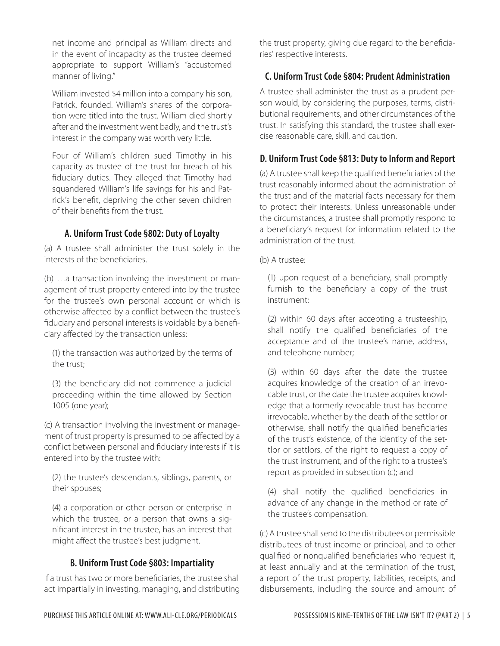net income and principal as William directs and in the event of incapacity as the trustee deemed appropriate to support William's "accustomed manner of living."

William invested \$4 million into a company his son, Patrick, founded. William's shares of the corporation were titled into the trust. William died shortly after and the investment went badly, and the trust's interest in the company was worth very little.

Four of William's children sued Timothy in his capacity as trustee of the trust for breach of his fiduciary duties. They alleged that Timothy had squandered William's life savings for his and Patrick's benefit, depriving the other seven children of their benefits from the trust.

## **A. Uniform Trust Code §802: Duty of Loyalty**

(a) A trustee shall administer the trust solely in the interests of the beneficiaries.

(b) …a transaction involving the investment or management of trust property entered into by the trustee for the trustee's own personal account or which is otherwise affected by a conflict between the trustee's fiduciary and personal interests is voidable by a beneficiary affected by the transaction unless:

(1) the transaction was authorized by the terms of the trust;

(3) the beneficiary did not commence a judicial proceeding within the time allowed by Section 1005 (one year);

(c) A transaction involving the investment or management of trust property is presumed to be affected by a conflict between personal and fiduciary interests if it is entered into by the trustee with:

(2) the trustee's descendants, siblings, parents, or their spouses;

(4) a corporation or other person or enterprise in which the trustee, or a person that owns a significant interest in the trustee, has an interest that might affect the trustee's best judgment.

# **B. Uniform Trust Code §803: Impartiality**

If a trust has two or more beneficiaries, the trustee shall act impartially in investing, managing, and distributing the trust property, giving due regard to the beneficiaries' respective interests.

# **C. Uniform Trust Code §804: Prudent Administration**

A trustee shall administer the trust as a prudent person would, by considering the purposes, terms, distributional requirements, and other circumstances of the trust. In satisfying this standard, the trustee shall exercise reasonable care, skill, and caution.

# **D. Uniform Trust Code §813: Duty to Inform and Report**

(a) A trustee shall keep the qualified beneficiaries of the trust reasonably informed about the administration of the trust and of the material facts necessary for them to protect their interests. Unless unreasonable under the circumstances, a trustee shall promptly respond to a beneficiary's request for information related to the administration of the trust.

(b) A trustee:

(1) upon request of a beneficiary, shall promptly furnish to the beneficiary a copy of the trust instrument;

(2) within 60 days after accepting a trusteeship, shall notify the qualified beneficiaries of the acceptance and of the trustee's name, address, and telephone number;

(3) within 60 days after the date the trustee acquires knowledge of the creation of an irrevocable trust, or the date the trustee acquires knowledge that a formerly revocable trust has become irrevocable, whether by the death of the settlor or otherwise, shall notify the qualified beneficiaries of the trust's existence, of the identity of the settlor or settlors, of the right to request a copy of the trust instrument, and of the right to a trustee's report as provided in subsection (c); and

(4) shall notify the qualified beneficiaries in advance of any change in the method or rate of the trustee's compensation.

(c) A trustee shall send to the distributees or permissible distributees of trust income or principal, and to other qualified or nonqualified beneficiaries who request it, at least annually and at the termination of the trust, a report of the trust property, liabilities, receipts, and disbursements, including the source and amount of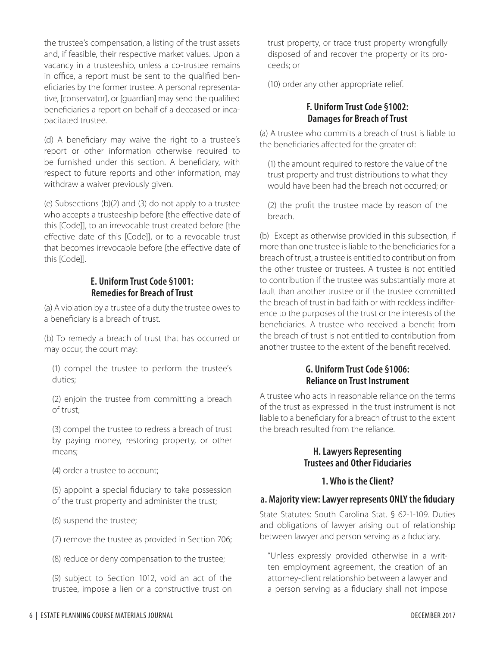the trustee's compensation, a listing of the trust assets and, if feasible, their respective market values. Upon a vacancy in a trusteeship, unless a co-trustee remains in office, a report must be sent to the qualified beneficiaries by the former trustee. A personal representative, [conservator], or [guardian] may send the qualified beneficiaries a report on behalf of a deceased or incapacitated trustee.

(d) A beneficiary may waive the right to a trustee's report or other information otherwise required to be furnished under this section. A beneficiary, with respect to future reports and other information, may withdraw a waiver previously given.

(e) Subsections (b)(2) and (3) do not apply to a trustee who accepts a trusteeship before [the effective date of this [Code]], to an irrevocable trust created before [the effective date of this [Code]], or to a revocable trust that becomes irrevocable before [the effective date of this [Code]].

## **E. Uniform Trust Code §1001: Remedies for Breach of Trust**

(a) A violation by a trustee of a duty the trustee owes to a beneficiary is a breach of trust.

(b) To remedy a breach of trust that has occurred or may occur, the court may:

(1) compel the trustee to perform the trustee's duties;

(2) enjoin the trustee from committing a breach of trust;

(3) compel the trustee to redress a breach of trust by paying money, restoring property, or other means;

(4) order a trustee to account;

(5) appoint a special fiduciary to take possession of the trust property and administer the trust;

(6) suspend the trustee;

(7) remove the trustee as provided in Section 706;

(8) reduce or deny compensation to the trustee;

(9) subject to Section 1012, void an act of the trustee, impose a lien or a constructive trust on trust property, or trace trust property wrongfully disposed of and recover the property or its proceeds; or

(10) order any other appropriate relief.

#### **F. Uniform Trust Code §1002: Damages for Breach of Trust**

(a) A trustee who commits a breach of trust is liable to the beneficiaries affected for the greater of:

(1) the amount required to restore the value of the trust property and trust distributions to what they would have been had the breach not occurred; or

(2) the profit the trustee made by reason of the breach.

(b) Except as otherwise provided in this subsection, if more than one trustee is liable to the beneficiaries for a breach of trust, a trustee is entitled to contribution from the other trustee or trustees. A trustee is not entitled to contribution if the trustee was substantially more at fault than another trustee or if the trustee committed the breach of trust in bad faith or with reckless indifference to the purposes of the trust or the interests of the beneficiaries. A trustee who received a benefit from the breach of trust is not entitled to contribution from another trustee to the extent of the benefit received.

#### **G. Uniform Trust Code §1006: Reliance on Trust Instrument**

A trustee who acts in reasonable reliance on the terms of the trust as expressed in the trust instrument is not liable to a beneficiary for a breach of trust to the extent the breach resulted from the reliance.

## **H. Lawyers Representing Trustees and Other Fiduciaries**

# **1. Who is the Client?**

# **a. Majority view: Lawyer represents ONLY the fiduciary**

State Statutes: South Carolina Stat. § 62-1-109. Duties and obligations of lawyer arising out of relationship between lawyer and person serving as a fiduciary.

"Unless expressly provided otherwise in a written employment agreement, the creation of an attorney-client relationship between a lawyer and a person serving as a fiduciary shall not impose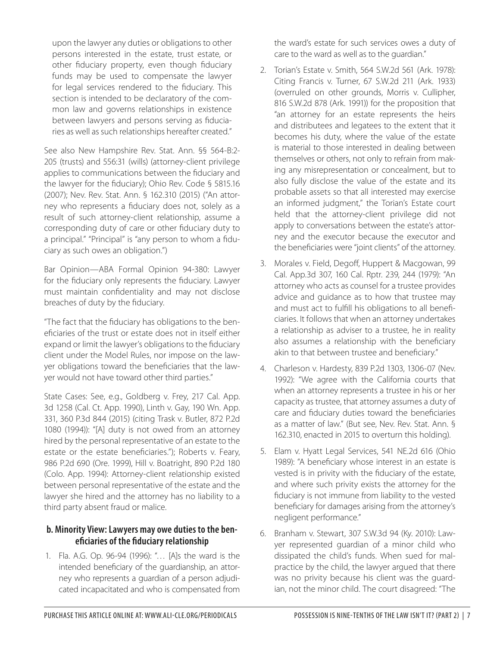upon the lawyer any duties or obligations to other persons interested in the estate, trust estate, or other fiduciary property, even though fiduciary funds may be used to compensate the lawyer for legal services rendered to the fiduciary. This section is intended to be declaratory of the common law and governs relationships in existence between lawyers and persons serving as fiduciaries as well as such relationships hereafter created."

See also New Hampshire Rev. Stat. Ann. §§ 564-B:2- 205 (trusts) and 556:31 (wills) (attorney-client privilege applies to communications between the fiduciary and the lawyer for the fiduciary); Ohio Rev. Code § 5815.16 (2007); Nev. Rev. Stat. Ann. § 162.310 (2015) ("An attorney who represents a fiduciary does not, solely as a result of such attorney-client relationship, assume a corresponding duty of care or other fiduciary duty to a principal." "Principal" is "any person to whom a fiduciary as such owes an obligation.")

Bar Opinion—ABA Formal Opinion 94-380: Lawyer for the fiduciary only represents the fiduciary. Lawyer must maintain confidentiality and may not disclose breaches of duty by the fiduciary.

"The fact that the fiduciary has obligations to the beneficiaries of the trust or estate does not in itself either expand or limit the lawyer's obligations to the fiduciary client under the Model Rules, nor impose on the lawyer obligations toward the beneficiaries that the lawyer would not have toward other third parties."

State Cases: See, e.g., Goldberg v. Frey, 217 Cal. App. 3d 1258 (Cal. Ct. App. 1990), Linth v. Gay, 190 Wn. App. 331, 360 P.3d 844 (2015) (citing Trask v. Butler, 872 P.2d 1080 (1994)): "[A] duty is not owed from an attorney hired by the personal representative of an estate to the estate or the estate beneficiaries."); Roberts v. Feary, 986 P.2d 690 (Ore. 1999), Hill v. Boatright, 890 P.2d 180 (Colo. App. 1994): Attorney-client relationship existed between personal representative of the estate and the lawyer she hired and the attorney has no liability to a third party absent fraud or malice.

#### **b. Minority View: Lawyers may owe duties to the beneficiaries of the fiduciary relationship**

1. Fla. A.G. Op. 96-94 (1996): "… [A]s the ward is the intended beneficiary of the guardianship, an attorney who represents a guardian of a person adjudicated incapacitated and who is compensated from the ward's estate for such services owes a duty of care to the ward as well as to the guardian."

- 2. Torian's Estate v. Smith, 564 S.W.2d 561 (Ark. 1978): Citing Francis v. Turner, 67 S.W.2d 211 (Ark. 1933) (overruled on other grounds, Morris v. Cullipher, 816 S.W.2d 878 (Ark. 1991)) for the proposition that "an attorney for an estate represents the heirs and distributees and legatees to the extent that it becomes his duty, where the value of the estate is material to those interested in dealing between themselves or others, not only to refrain from making any misrepresentation or concealment, but to also fully disclose the value of the estate and its probable assets so that all interested may exercise an informed judgment," the Torian's Estate court held that the attorney-client privilege did not apply to conversations between the estate's attorney and the executor because the executor and the beneficiaries were "joint clients" of the attorney.
- 3. Morales v. Field, Degoff, Huppert & Macgowan, 99 Cal. App.3d 307, 160 Cal. Rptr. 239, 244 (1979): "An attorney who acts as counsel for a trustee provides advice and guidance as to how that trustee may and must act to fulfill his obligations to all beneficiaries. It follows that when an attorney undertakes a relationship as adviser to a trustee, he in reality also assumes a relationship with the beneficiary akin to that between trustee and beneficiary."
- 4. Charleson v. Hardesty, 839 P.2d 1303, 1306-07 (Nev. 1992): "We agree with the California courts that when an attorney represents a trustee in his or her capacity as trustee, that attorney assumes a duty of care and fiduciary duties toward the beneficiaries as a matter of law." (But see, Nev. Rev. Stat. Ann. § 162.310, enacted in 2015 to overturn this holding).
- 5. Elam v. Hyatt Legal Services, 541 NE.2d 616 (Ohio 1989): "A beneficiary whose interest in an estate is vested is in privity with the fiduciary of the estate, and where such privity exists the attorney for the fiduciary is not immune from liability to the vested beneficiary for damages arising from the attorney's negligent performance."
- 6. Branham v. Stewart, 307 S.W.3d 94 (Ky. 2010): Lawyer represented guardian of a minor child who dissipated the child's funds. When sued for malpractice by the child, the lawyer argued that there was no privity because his client was the guardian, not the minor child. The court disagreed: "The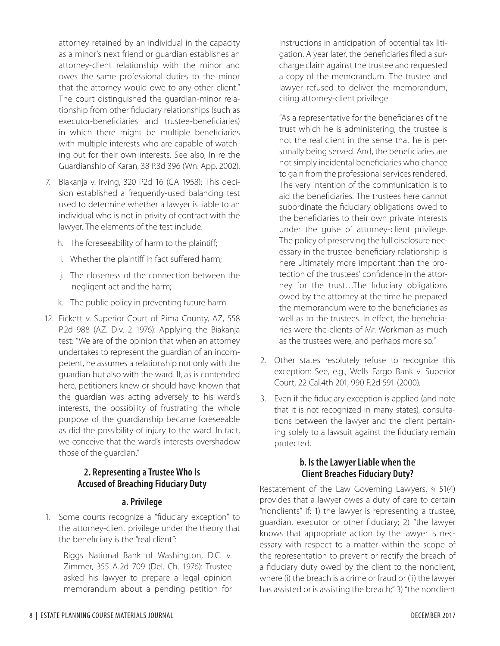attorney retained by an individual in the capacity as a minor's next friend or guardian establishes an attorney-client relationship with the minor and owes the same professional duties to the minor that the attorney would owe to any other client." The court distinguished the guardian-minor relationship from other fiduciary relationships (such as executor-beneficiaries and trustee-beneficiaries) in which there might be multiple beneficiaries with multiple interests who are capable of watching out for their own interests. See also, In re the Guardianship of Karan, 38 P.3d 396 (Wn. App. 2002).

- 7. Biakanja v. Irving, 320 P2d 16 (CA 1958): This decision established a frequently-used balancing test used to determine whether a lawyer is liable to an individual who is not in privity of contract with the lawyer. The elements of the test include:
	- h. The foreseeability of harm to the plaintiff;
	- i. Whether the plaintiff in fact suffered harm;
	- j. The closeness of the connection between the negligent act and the harm;
	- k. The public policy in preventing future harm.
- 12. Fickett v. Superior Court of Pima County, AZ, 558 P.2d 988 (AZ. Div. 2 1976): Applying the Biakanja test: "We are of the opinion that when an attorney undertakes to represent the guardian of an incompetent, he assumes a relationship not only with the guardian but also with the ward. If, as is contended here, petitioners knew or should have known that the guardian was acting adversely to his ward's interests, the possibility of frustrating the whole purpose of the guardianship became foreseeable as did the possibility of injury to the ward. In fact, we conceive that the ward's interests overshadow those of the guardian."

## **2. Representing a Trustee Who Is Accused of Breaching Fiduciary Duty**

#### **a. Privilege**

1. Some courts recognize a "fiduciary exception" to the attorney-client privilege under the theory that the beneficiary is the "real client":

Riggs National Bank of Washington, D.C. v. Zimmer, 355 A.2d 709 (Del. Ch. 1976): Trustee asked his lawyer to prepare a legal opinion memorandum about a pending petition for instructions in anticipation of potential tax litigation. A year later, the beneficiaries filed a surcharge claim against the trustee and requested a copy of the memorandum. The trustee and lawyer refused to deliver the memorandum, citing attorney-client privilege.

"As a representative for the beneficiaries of the trust which he is administering, the trustee is not the real client in the sense that he is personally being served. And, the beneficiaries are not simply incidental beneficiaries who chance to gain from the professional services rendered. The very intention of the communication is to aid the beneficiaries. The trustees here cannot subordinate the fiduciary obligations owed to the beneficiaries to their own private interests under the guise of attorney-client privilege. The policy of preserving the full disclosure necessary in the trustee-beneficiary relationship is here ultimately more important than the protection of the trustees' confidence in the attorney for the trust…The fiduciary obligations owed by the attorney at the time he prepared the memorandum were to the beneficiaries as well as to the trustees. In effect, the beneficiaries were the clients of Mr. Workman as much as the trustees were, and perhaps more so."

- 2. Other states resolutely refuse to recognize this exception: See, e.g., Wells Fargo Bank v. Superior Court, 22 Cal.4th 201, 990 P.2d 591 (2000).
- 3. Even if the fiduciary exception is applied (and note that it is not recognized in many states), consultations between the lawyer and the client pertaining solely to a lawsuit against the fiduciary remain protected.

#### **b. Is the Lawyer Liable when the Client Breaches Fiduciary Duty?**

Restatement of the Law Governing Lawyers, § 51(4) provides that a lawyer owes a duty of care to certain "nonclients" if: 1) the lawyer is representing a trustee, guardian, executor or other fiduciary; 2) "the lawyer knows that appropriate action by the lawyer is necessary with respect to a matter within the scope of the representation to prevent or rectify the breach of a fiduciary duty owed by the client to the nonclient, where (i) the breach is a crime or fraud or (ii) the lawyer has assisted or is assisting the breach;" 3) "the nonclient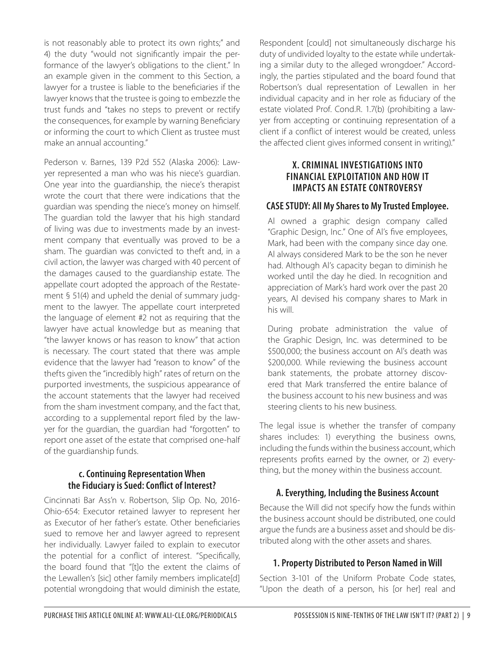is not reasonably able to protect its own rights;" and 4) the duty "would not significantly impair the performance of the lawyer's obligations to the client." In an example given in the comment to this Section, a lawyer for a trustee is liable to the beneficiaries if the lawyer knows that the trustee is going to embezzle the trust funds and "takes no steps to prevent or rectify the consequences, for example by warning Beneficiary or informing the court to which Client as trustee must make an annual accounting."

Pederson v. Barnes, 139 P2d 552 (Alaska 2006): Lawyer represented a man who was his niece's guardian. One year into the guardianship, the niece's therapist wrote the court that there were indications that the guardian was spending the niece's money on himself. The guardian told the lawyer that his high standard of living was due to investments made by an investment company that eventually was proved to be a sham. The guardian was convicted to theft and, in a civil action, the lawyer was charged with 40 percent of the damages caused to the guardianship estate. The appellate court adopted the approach of the Restatement § 51(4) and upheld the denial of summary judgment to the lawyer. The appellate court interpreted the language of element #2 not as requiring that the lawyer have actual knowledge but as meaning that "the lawyer knows or has reason to know" that action is necessary. The court stated that there was ample evidence that the lawyer had "reason to know" of the thefts given the "incredibly high" rates of return on the purported investments, the suspicious appearance of the account statements that the lawyer had received from the sham investment company, and the fact that, according to a supplemental report filed by the lawyer for the guardian, the guardian had "forgotten" to report one asset of the estate that comprised one-half of the guardianship funds.

#### **c. Continuing Representation When the Fiduciary is Sued: Conflict of Interest?**

Cincinnati Bar Ass'n v. Robertson, Slip Op. No, 2016- Ohio-654: Executor retained lawyer to represent her as Executor of her father's estate. Other beneficiaries sued to remove her and lawyer agreed to represent her individually. Lawyer failed to explain to executor the potential for a conflict of interest. "Specifically, the board found that "[t]o the extent the claims of the Lewallen's [sic] other family members implicate[d] potential wrongdoing that would diminish the estate,

Respondent [could] not simultaneously discharge his duty of undivided loyalty to the estate while undertaking a similar duty to the alleged wrongdoer." Accordingly, the parties stipulated and the board found that Robertson's dual representation of Lewallen in her individual capacity and in her role as fiduciary of the estate violated Prof. Cond.R. 1.7(b) (prohibiting a lawyer from accepting or continuing representation of a client if a conflict of interest would be created, unless the affected client gives informed consent in writing)."

#### **X. CRIMINAL INVESTIGATIONS INTO FINANCIAL EXPLOITATION AND HOW IT IMPACTS AN ESTATE CONTROVERSY**

#### **CASE STUDY: All My Shares to My Trusted Employee.**

Al owned a graphic design company called "Graphic Design, Inc." One of Al's five employees, Mark, had been with the company since day one. Al always considered Mark to be the son he never had. Although Al's capacity began to diminish he worked until the day he died. In recognition and appreciation of Mark's hard work over the past 20 years, Al devised his company shares to Mark in his will.

During probate administration the value of the Graphic Design, Inc. was determined to be \$500,000; the business account on Al's death was \$200,000. While reviewing the business account bank statements, the probate attorney discovered that Mark transferred the entire balance of the business account to his new business and was steering clients to his new business.

The legal issue is whether the transfer of company shares includes: 1) everything the business owns, including the funds within the business account, which represents profits earned by the owner, or 2) everything, but the money within the business account.

# **A. Everything, Including the Business Account**

Because the Will did not specify how the funds within the business account should be distributed, one could argue the funds are a business asset and should be distributed along with the other assets and shares.

## **1. Property Distributed to Person Named in Will**

Section 3-101 of the Uniform Probate Code states, "Upon the death of a person, his [or her] real and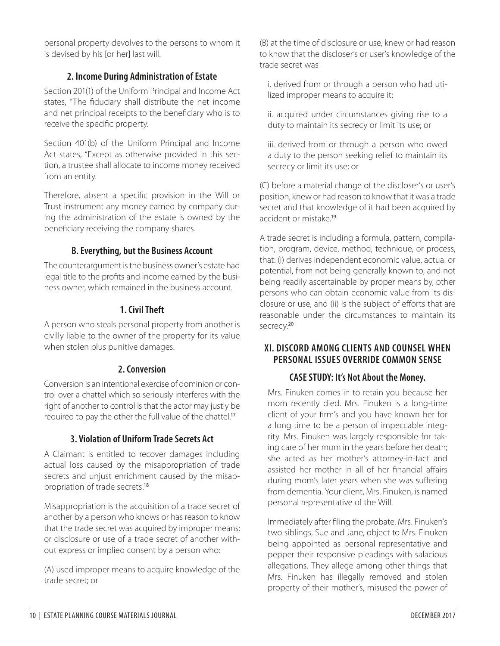personal property devolves to the persons to whom it is devised by his [or her] last will.

## **2. Income During Administration of Estate**

Section 201(1) of the Uniform Principal and Income Act states, "The fiduciary shall distribute the net income and net principal receipts to the beneficiary who is to receive the specific property.

Section 401(b) of the Uniform Principal and Income Act states, "Except as otherwise provided in this section, a trustee shall allocate to income money received from an entity.

Therefore, absent a specific provision in the Will or Trust instrument any money earned by company during the administration of the estate is owned by the beneficiary receiving the company shares.

## **B. Everything, but the Business Account**

The counterargument is the business owner's estate had legal title to the profits and income earned by the business owner, which remained in the business account.

## **1. Civil Theft**

A person who steals personal property from another is civilly liable to the owner of the property for its value when stolen plus punitive damages.

#### **2. Conversion**

Conversion is an intentional exercise of dominion or control over a chattel which so seriously interferes with the right of another to control is that the actor may justly be required to pay the other the full value of the chattel.<sup>17</sup>

## **3. Violation of Uniform Trade Secrets Act**

A Claimant is entitled to recover damages including actual loss caused by the misappropriation of trade secrets and unjust enrichment caused by the misappropriation of trade secrets.<sup>18</sup>

Misappropriation is the acquisition of a trade secret of another by a person who knows or has reason to know that the trade secret was acquired by improper means; or disclosure or use of a trade secret of another without express or implied consent by a person who:

(A) used improper means to acquire knowledge of the trade secret; or

(B) at the time of disclosure or use, knew or had reason to know that the discloser's or user's knowledge of the trade secret was

i. derived from or through a person who had utilized improper means to acquire it;

ii. acquired under circumstances giving rise to a duty to maintain its secrecy or limit its use; or

iii. derived from or through a person who owed a duty to the person seeking relief to maintain its secrecy or limit its use; or

(C) before a material change of the discloser's or user's position, knew or had reason to know that it was a trade secret and that knowledge of it had been acquired by accident or mistake<sup>19</sup>

A trade secret is including a formula, pattern, compilation, program, device, method, technique, or process, that: (i) derives independent economic value, actual or potential, from not being generally known to, and not being readily ascertainable by proper means by, other persons who can obtain economic value from its disclosure or use, and (ii) is the subject of efforts that are reasonable under the circumstances to maintain its secrecy.<sup>20</sup>

#### **XI. DISCORD AMONG CLIENTS AND COUNSEL WHEN PERSONAL ISSUES OVERRIDE COMMON SENSE**

#### **CASE STUDY: It's Not About the Money.**

Mrs. Finuken comes in to retain you because her mom recently died. Mrs. Finuken is a long-time client of your firm's and you have known her for a long time to be a person of impeccable integrity. Mrs. Finuken was largely responsible for taking care of her mom in the years before her death; she acted as her mother's attorney-in-fact and assisted her mother in all of her financial affairs during mom's later years when she was suffering from dementia. Your client, Mrs. Finuken, is named personal representative of the Will.

Immediately after filing the probate, Mrs. Finuken's two siblings, Sue and Jane, object to Mrs. Finuken being appointed as personal representative and pepper their responsive pleadings with salacious allegations. They allege among other things that Mrs. Finuken has illegally removed and stolen property of their mother's, misused the power of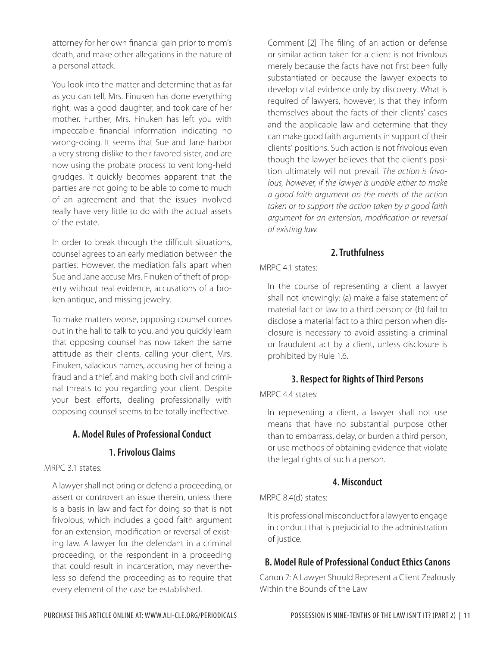attorney for her own financial gain prior to mom's death, and make other allegations in the nature of a personal attack.

You look into the matter and determine that as far as you can tell, Mrs. Finuken has done everything right, was a good daughter, and took care of her mother. Further, Mrs. Finuken has left you with impeccable financial information indicating no wrong-doing. It seems that Sue and Jane harbor a very strong dislike to their favored sister, and are now using the probate process to vent long-held grudges. It quickly becomes apparent that the parties are not going to be able to come to much of an agreement and that the issues involved really have very little to do with the actual assets of the estate.

In order to break through the difficult situations, counsel agrees to an early mediation between the parties. However, the mediation falls apart when Sue and Jane accuse Mrs. Finuken of theft of property without real evidence, accusations of a broken antique, and missing jewelry.

To make matters worse, opposing counsel comes out in the hall to talk to you, and you quickly learn that opposing counsel has now taken the same attitude as their clients, calling your client, Mrs. Finuken, salacious names, accusing her of being a fraud and a thief, and making both civil and criminal threats to you regarding your client. Despite your best efforts, dealing professionally with opposing counsel seems to be totally ineffective.

# **A. Model Rules of Professional Conduct**

#### **1. Frivolous Claims**

MRPC 3.1 states:

A lawyer shall not bring or defend a proceeding, or assert or controvert an issue therein, unless there is a basis in law and fact for doing so that is not frivolous, which includes a good faith argument for an extension, modification or reversal of existing law. A lawyer for the defendant in a criminal proceeding, or the respondent in a proceeding that could result in incarceration, may nevertheless so defend the proceeding as to require that every element of the case be established.

Comment [2] The filing of an action or defense or similar action taken for a client is not frivolous merely because the facts have not first been fully substantiated or because the lawyer expects to develop vital evidence only by discovery. What is required of lawyers, however, is that they inform themselves about the facts of their clients' cases and the applicable law and determine that they can make good faith arguments in support of their clients' positions. Such action is not frivolous even though the lawyer believes that the client's position ultimately will not prevail. *The action is frivolous, however, if the lawyer is unable either to make a good faith argument on the merits of the action taken or to support the action taken by a good faith argument for an extension, modification or reversal of existing law.*

## **2. Truthfulness**

#### MRPC 4.1 states:

In the course of representing a client a lawyer shall not knowingly: (a) make a false statement of material fact or law to a third person; or (b) fail to disclose a material fact to a third person when disclosure is necessary to avoid assisting a criminal or fraudulent act by a client, unless disclosure is prohibited by Rule 1.6.

## **3. Respect for Rights of Third Persons**

#### MRPC 4.4 states:

In representing a client, a lawyer shall not use means that have no substantial purpose other than to embarrass, delay, or burden a third person, or use methods of obtaining evidence that violate the legal rights of such a person.

## **4. Misconduct**

#### MRPC 8.4(d) states:

It is professional misconduct for a lawyer to engage in conduct that is prejudicial to the administration of justice.

## **B. Model Rule of Professional Conduct Ethics Canons**

Canon 7: A Lawyer Should Represent a Client Zealously Within the Bounds of the Law